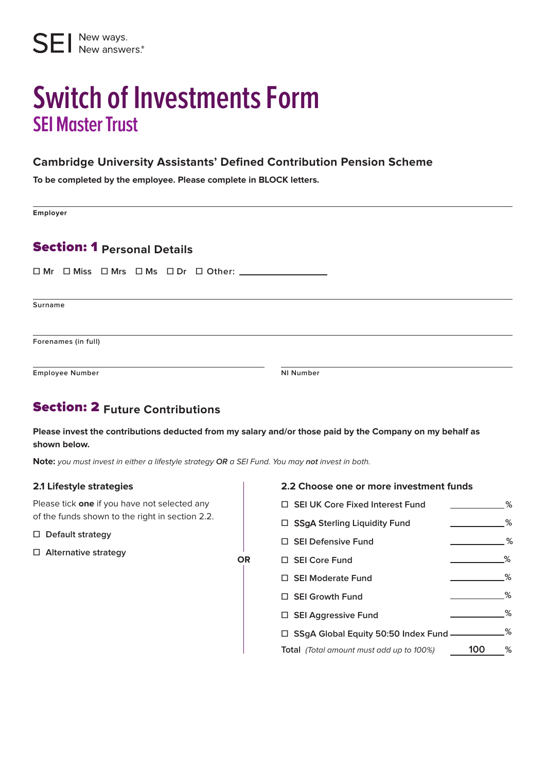# **Switch of Investments Form SEI Master Trust**

#### **Cambridge University Assistants' Defined Contribution Pension Scheme**

**To be completed by the employee. Please complete in BLOCK letters.**

**Employer**

## Section: 1 **Personal Details**

**☐ Mr ☐ Miss ☐ Mrs ☐ Ms ☐ Dr ☐ Other:** 

**Surname**

**Forenames (in full)**

**Employee Number NI Number**

## Section: 2 **Future Contributions**

**Please invest the contributions deducted from my salary and/or those paid by the Company on my behalf as shown below.**

**OR**

**Note:** you must invest in either a lifestyle strategy **OR** a SEI Fund. You may **not** invest in both.

#### **2.1 Lifestyle strategies**

Please tick **one** if you have not selected any of the funds shown to the right in section 2.2.

- **☐ Default strategy**
- **☐ Alternative strategy**

**2.2 Choose one or more investment funds**

| □ SEI UK Core Fixed Interest Fund                                   |     | % |
|---------------------------------------------------------------------|-----|---|
| □ SSgA Sterling Liquidity Fund                                      |     | % |
| $\Box$ SEI Defensive Fund                                           |     | % |
| □ SEI Core Fund                                                     |     | ℅ |
| $\Box$ SEI Moderate Fund                                            |     | % |
| $\Box$ SEI Growth Fund                                              |     | % |
| $\Box$ SEI Aggressive Fund                                          |     | ℅ |
| $\Box$ SSgA Global Equity 50:50 Index Fund $\overline{\phantom{a}}$ |     | % |
| <b>Total</b> (Total amount must add up to 100%)                     | 10O | ℅ |
|                                                                     |     |   |